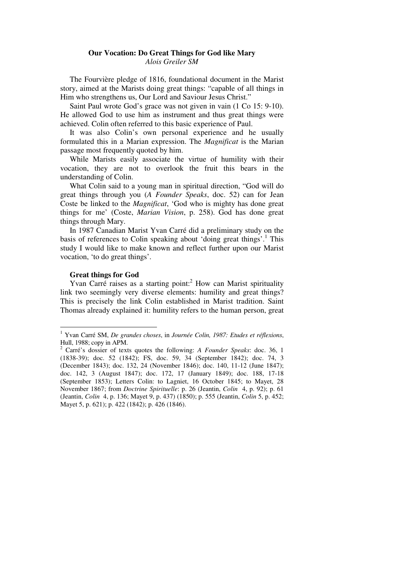# **Our Vocation: Do Great Things for God like Mary**  *Alois Greiler SM*

The Fourvière pledge of 1816, foundational document in the Marist story, aimed at the Marists doing great things: "capable of all things in Him who strengthens us, Our Lord and Saviour Jesus Christ."

Saint Paul wrote God's grace was not given in vain (1 Co 15: 9-10). He allowed God to use him as instrument and thus great things were achieved. Colin often referred to this basic experience of Paul.

It was also Colin's own personal experience and he usually formulated this in a Marian expression. The *Magnificat* is the Marian passage most frequently quoted by him.

While Marists easily associate the virtue of humility with their vocation, they are not to overlook the fruit this bears in the understanding of Colin.

What Colin said to a young man in spiritual direction, "God will do great things through you (*A Founder Speaks*, doc. 52) can for Jean Coste be linked to the *Magnificat*, 'God who is mighty has done great things for me' (Coste, *Marian Vision*, p. 258). God has done great things through Mary.

In 1987 Canadian Marist Yvan Carré did a preliminary study on the basis of references to Colin speaking about 'doing great things'.<sup>1</sup> This study I would like to make known and reflect further upon our Marist vocation, 'to do great things'.

## **Great things for God**

 $\overline{a}$ 

Yvan Carré raises as a starting point:<sup>2</sup> How can Marist spirituality link two seemingly very diverse elements: humility and great things? This is precisely the link Colin established in Marist tradition. Saint Thomas already explained it: humility refers to the human person, great

<sup>1</sup> Yvan Carré SM, *De grandes choses*, in *Journée Colin, 1987: Etudes et réflexions*, Hull, 1988; copy in APM.

<sup>2</sup> Carré's dossier of texts quotes the following: *A Founder Speaks*: doc. 36, 1 (1838-39); doc. 52 (1842); FS, doc. 59, 34 (September 1842); doc. 74, 3 (December 1843); doc. 132, 24 (November 1846); doc. 140, 11-12 (June 1847); doc. 142, 3 (August 1847); doc. 172, 17 (January 1849); doc. 188, 17-18 (September 1853); Letters Colin: to Lagniet, 16 October 1845; to Mayet, 28 November 1867; from *Doctrine Spirituelle*: p. 26 (Jeantin, *Colin* 4, p. 92); p. 61 (Jeantin, *Colin* 4, p. 136; Mayet 9, p. 437) (1850); p. 555 (Jeantin, *Colin* 5, p. 452; Mayet 5, p. 621); p. 422 (1842); p. 426 (1846).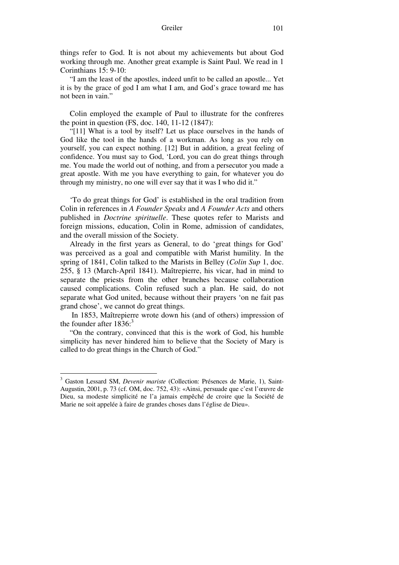#### Greiler 101

things refer to God. It is not about my achievements but about God working through me. Another great example is Saint Paul. We read in 1 Corinthians 15: 9-10:

"I am the least of the apostles, indeed unfit to be called an apostle... Yet it is by the grace of god I am what I am, and God's grace toward me has not been in vain."

Colin employed the example of Paul to illustrate for the confreres the point in question (FS, doc. 140, 11-12 (1847):

"[11] What is a tool by itself? Let us place ourselves in the hands of God like the tool in the hands of a workman. As long as you rely on yourself, you can expect nothing. [12] But in addition, a great feeling of confidence. You must say to God, 'Lord, you can do great things through me. You made the world out of nothing, and from a persecutor you made a great apostle. With me you have everything to gain, for whatever you do through my ministry, no one will ever say that it was I who did it."

'To do great things for God' is established in the oral tradition from Colin in references in *A Founder Speaks* and *A Founder Acts* and others published in *Doctrine spirituelle*. These quotes refer to Marists and foreign missions, education, Colin in Rome, admission of candidates, and the overall mission of the Society.

Already in the first years as General, to do 'great things for God' was perceived as a goal and compatible with Marist humility. In the spring of 1841, Colin talked to the Marists in Belley (*Colin Sup* 1, doc. 255, § 13 (March-April 1841). Maîtrepierre, his vicar, had in mind to separate the priests from the other branches because collaboration caused complications. Colin refused such a plan. He said, do not separate what God united, because without their prayers 'on ne fait pas grand chose', we cannot do great things.

 In 1853, Maîtrepierre wrote down his (and of others) impression of the founder after  $1836$ <sup>3</sup>

"On the contrary, convinced that this is the work of God, his humble simplicity has never hindered him to believe that the Society of Mary is called to do great things in the Church of God."

 3 Gaston Lessard SM, *Devenir mariste* (Collection: Présences de Marie, 1), Saint-Augustin, 2001, p. 73 (cf. OM, doc. 752, 43): «Ainsi, persuade que c'est l'œuvre de Dieu, sa modeste simplicité ne l'a jamais empêché de croire que la Société de Marie ne soit appelée à faire de grandes choses dans l'église de Dieu».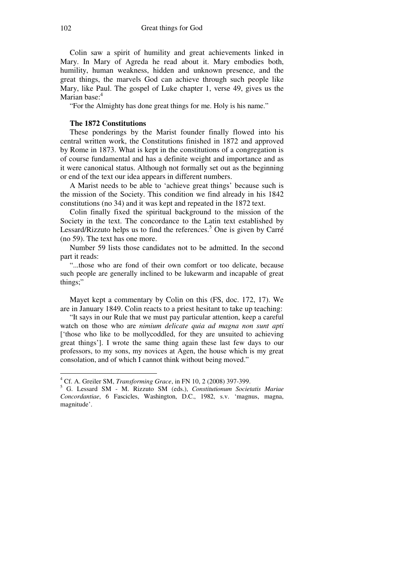Colin saw a spirit of humility and great achievements linked in Mary. In Mary of Agreda he read about it. Mary embodies both, humility, human weakness, hidden and unknown presence, and the great things, the marvels God can achieve through such people like Mary, like Paul. The gospel of Luke chapter 1, verse 49, gives us the Marian base<sup>-4</sup>

"For the Almighty has done great things for me. Holy is his name."

# **The 1872 Constitutions**

These ponderings by the Marist founder finally flowed into his central written work, the Constitutions finished in 1872 and approved by Rome in 1873. What is kept in the constitutions of a congregation is of course fundamental and has a definite weight and importance and as it were canonical status. Although not formally set out as the beginning or end of the text our idea appears in different numbers.

A Marist needs to be able to 'achieve great things' because such is the mission of the Society. This condition we find already in his 1842 constitutions (no 34) and it was kept and repeated in the 1872 text.

Colin finally fixed the spiritual background to the mission of the Society in the text. The concordance to the Latin text established by Lessard/Rizzuto helps us to find the references.<sup>5</sup> One is given by Carré (no 59). The text has one more.

Number 59 lists those candidates not to be admitted. In the second part it reads:

"...those who are fond of their own comfort or too delicate, because such people are generally inclined to be lukewarm and incapable of great things;"

Mayet kept a commentary by Colin on this (FS, doc. 172, 17). We are in January 1849. Colin reacts to a priest hesitant to take up teaching:

"It says in our Rule that we must pay particular attention, keep a careful watch on those who are *nimium delicate quia ad magna non sunt apti* ['those who like to be mollycoddled, for they are unsuited to achieving great things']. I wrote the same thing again these last few days to our professors, to my sons, my novices at Agen, the house which is my great consolation, and of which I cannot think without being moved."

 4 Cf. A. Greiler SM, *Transforming Grace*, in FN 10, 2 (2008) 397-399.

<sup>5</sup> G. Lessard SM - M. Rizzuto SM (eds.), *Constitutionum Societatis Mariae Concordantiae*, 6 Fascicles, Washington, D.C., 1982, s.v. 'magnus, magna, magnitude'.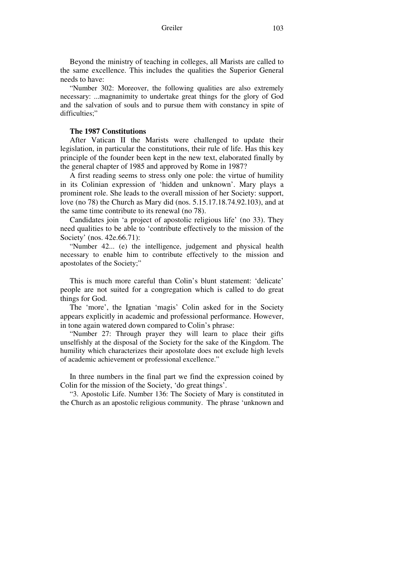Greiler 103

Beyond the ministry of teaching in colleges, all Marists are called to the same excellence. This includes the qualities the Superior General needs to have:

"Number 302: Moreover, the following qualities are also extremely necessary: ...magnanimity to undertake great things for the glory of God and the salvation of souls and to pursue them with constancy in spite of difficulties;"

## **The 1987 Constitutions**

After Vatican II the Marists were challenged to update their legislation, in particular the constitutions, their rule of life. Has this key principle of the founder been kept in the new text, elaborated finally by the general chapter of 1985 and approved by Rome in 1987?

A first reading seems to stress only one pole: the virtue of humility in its Colinian expression of 'hidden and unknown'. Mary plays a prominent role. She leads to the overall mission of her Society: support, love (no 78) the Church as Mary did (nos. 5.15.17.18.74.92.103), and at the same time contribute to its renewal (no 78).

Candidates join 'a project of apostolic religious life' (no 33). They need qualities to be able to 'contribute effectively to the mission of the Society' (nos. 42e.66.71):

"Number 42... (e) the intelligence, judgement and physical health necessary to enable him to contribute effectively to the mission and apostolates of the Society;"

This is much more careful than Colin's blunt statement: 'delicate' people are not suited for a congregation which is called to do great things for God.

The 'more', the Ignatian 'magis' Colin asked for in the Society appears explicitly in academic and professional performance. However, in tone again watered down compared to Colin's phrase:

"Number 27: Through prayer they will learn to place their gifts unselfishly at the disposal of the Society for the sake of the Kingdom. The humility which characterizes their apostolate does not exclude high levels of academic achievement or professional excellence."

In three numbers in the final part we find the expression coined by Colin for the mission of the Society, 'do great things'.

"3. Apostolic Life. Number 136: The Society of Mary is constituted in the Church as an apostolic religious community. The phrase 'unknown and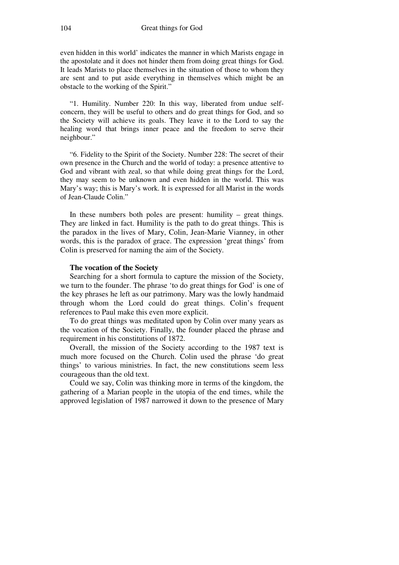even hidden in this world' indicates the manner in which Marists engage in the apostolate and it does not hinder them from doing great things for God. It leads Marists to place themselves in the situation of those to whom they are sent and to put aside everything in themselves which might be an obstacle to the working of the Spirit."

"1. Humility. Number 220: In this way, liberated from undue selfconcern, they will be useful to others and do great things for God, and so the Society will achieve its goals. They leave it to the Lord to say the healing word that brings inner peace and the freedom to serve their neighbour."

"6. Fidelity to the Spirit of the Society. Number 228: The secret of their own presence in the Church and the world of today: a presence attentive to God and vibrant with zeal, so that while doing great things for the Lord, they may seem to be unknown and even hidden in the world. This was Mary's way; this is Mary's work. It is expressed for all Marist in the words of Jean-Claude Colin."

In these numbers both poles are present: humility – great things. They are linked in fact. Humility is the path to do great things. This is the paradox in the lives of Mary, Colin, Jean-Marie Vianney, in other words, this is the paradox of grace. The expression 'great things' from Colin is preserved for naming the aim of the Society.

## **The vocation of the Society**

Searching for a short formula to capture the mission of the Society, we turn to the founder. The phrase 'to do great things for God' is one of the key phrases he left as our patrimony. Mary was the lowly handmaid through whom the Lord could do great things. Colin's frequent references to Paul make this even more explicit.

To do great things was meditated upon by Colin over many years as the vocation of the Society. Finally, the founder placed the phrase and requirement in his constitutions of 1872.

Overall, the mission of the Society according to the 1987 text is much more focused on the Church. Colin used the phrase 'do great things' to various ministries. In fact, the new constitutions seem less courageous than the old text.

Could we say, Colin was thinking more in terms of the kingdom, the gathering of a Marian people in the utopia of the end times, while the approved legislation of 1987 narrowed it down to the presence of Mary